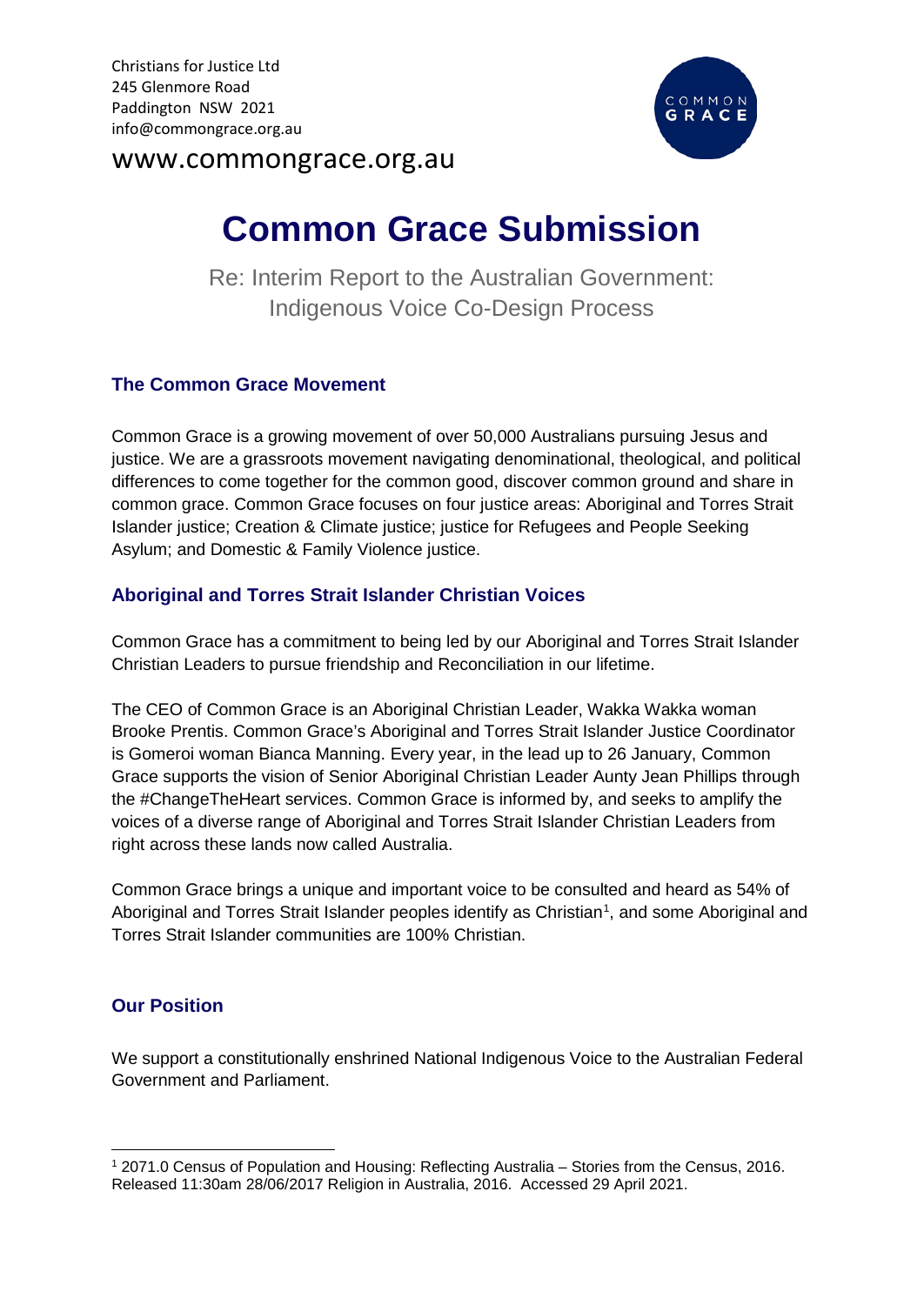

# www.commongrace.org.au

# **Common Grace Submission**

Re: Interim Report to the Australian Government: Indigenous Voice Co-Design Process

## **The Common Grace Movement**

Common Grace is a growing movement of over 50,000 Australians pursuing Jesus and justice. We are a grassroots movement navigating denominational, theological, and political differences to come together for the common good, discover common ground and share in common grace. Common Grace focuses on four justice areas: Aboriginal and Torres Strait Islander justice; Creation & Climate justice; justice for Refugees and People Seeking Asylum; and Domestic & Family Violence justice.

## **Aboriginal and Torres Strait Islander Christian Voices**

Common Grace has a commitment to being led by our Aboriginal and Torres Strait Islander Christian Leaders to pursue friendship and Reconciliation in our lifetime.

The CEO of Common Grace is an Aboriginal Christian Leader, Wakka Wakka woman Brooke Prentis. Common Grace's Aboriginal and Torres Strait Islander Justice Coordinator is Gomeroi woman Bianca Manning. Every year, in the lead up to 26 January, Common Grace supports the vision of Senior Aboriginal Christian Leader Aunty Jean Phillips through the #ChangeTheHeart services. Common Grace is informed by, and seeks to amplify the voices of a diverse range of Aboriginal and Torres Strait Islander Christian Leaders from right across these lands now called Australia.

Common Grace brings a unique and important voice to be consulted and heard as 54% of Aboriginal and Torres Strait Islander peoples identify as Christian<sup>[1](#page-0-0)</sup>, and some Aboriginal and Torres Strait Islander communities are 100% Christian.

## **Our Position**

We support a constitutionally enshrined National Indigenous Voice to the Australian Federal Government and Parliament.

<span id="page-0-0"></span> <sup>1</sup> 2071.0 Census of Population and Housing: Reflecting Australia – Stories from the Census, 2016. Released 11:30am 28/06/2017 Religion in Australia, 2016. Accessed 29 April 2021.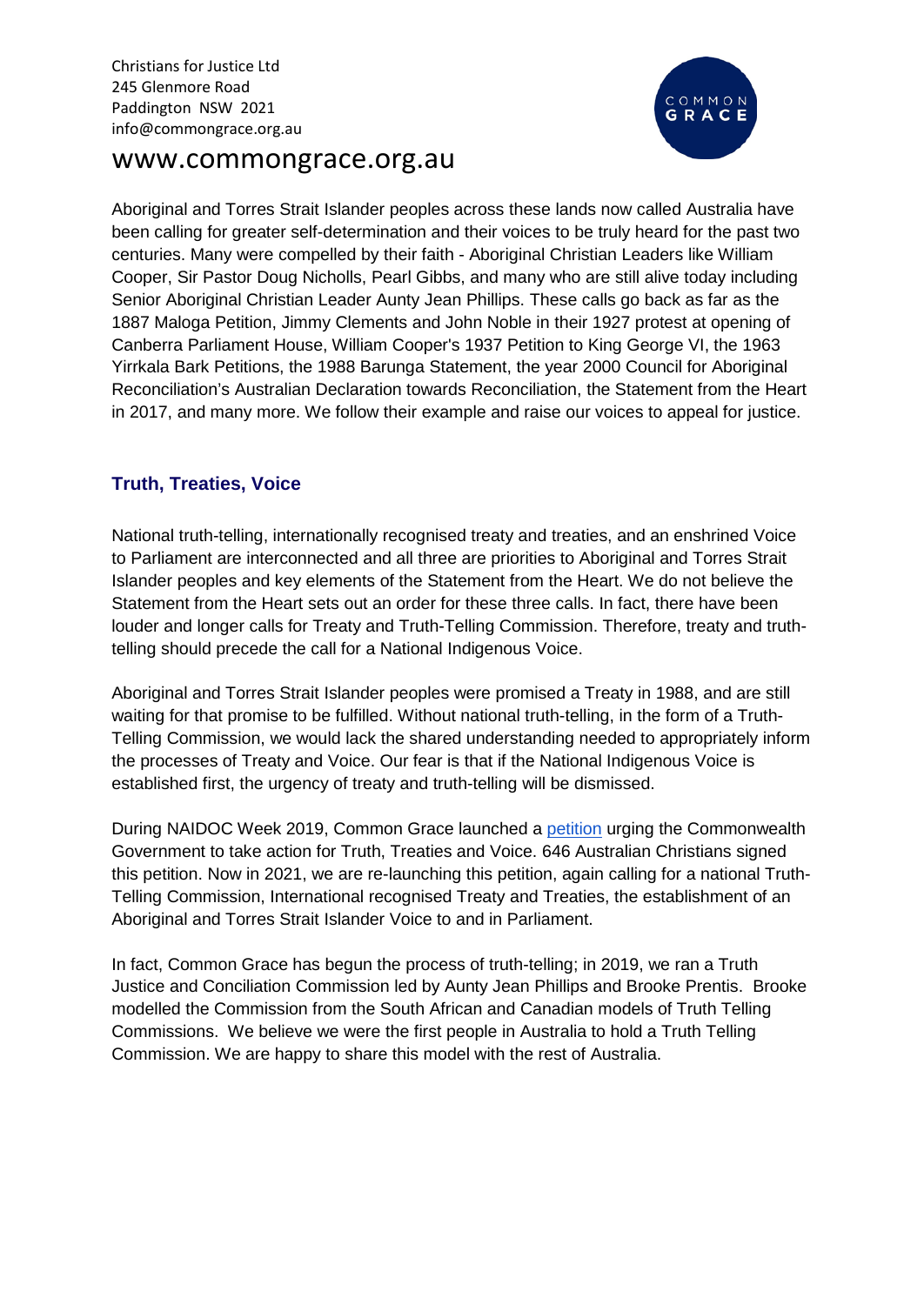

# www.commongrace.org.au

Aboriginal and Torres Strait Islander peoples across these lands now called Australia have been calling for greater self-determination and their voices to be truly heard for the past two centuries. Many were compelled by their faith - Aboriginal Christian Leaders like William Cooper, Sir Pastor Doug Nicholls, Pearl Gibbs, and many who are still alive today including Senior Aboriginal Christian Leader Aunty Jean Phillips. These calls go back as far as the 1887 Maloga Petition, Jimmy Clements and John Noble in their 1927 protest at opening of Canberra Parliament House, William Cooper's 1937 Petition to King George VI, the 1963 Yirrkala Bark Petitions, the 1988 Barunga Statement, the year 2000 Council for Aboriginal Reconciliation's Australian Declaration towards Reconciliation, the Statement from the Heart in 2017, and many more. We follow their example and raise our voices to appeal for justice.

## **Truth, Treaties, Voice**

National truth-telling, internationally recognised treaty and treaties, and an enshrined Voice to Parliament are interconnected and all three are priorities to Aboriginal and Torres Strait Islander peoples and key elements of the Statement from the Heart. We do not believe the Statement from the Heart sets out an order for these three calls. In fact, there have been louder and longer calls for Treaty and Truth-Telling Commission. Therefore, treaty and truthtelling should precede the call for a National Indigenous Voice.

Aboriginal and Torres Strait Islander peoples were promised a Treaty in 1988, and are still waiting for that promise to be fulfilled. Without national truth-telling, in the form of a Truth-Telling Commission, we would lack the shared understanding needed to appropriately inform the processes of Treaty and Voice. Our fear is that if the National Indigenous Voice is established first, the urgency of treaty and truth-telling will be dismissed.

During NAIDOC Week 2019, Common Grace launched a [petition](https://www.commongrace.org.au/truth_treaties_voice) urging the Commonwealth Government to take action for Truth, Treaties and Voice. 646 Australian Christians signed this petition. Now in 2021, we are re-launching this petition, again calling for a national Truth-Telling Commission, International recognised Treaty and Treaties, the establishment of an Aboriginal and Torres Strait Islander Voice to and in Parliament.

In fact, Common Grace has begun the process of truth-telling; in 2019, we ran a Truth Justice and Conciliation Commission led by Aunty Jean Phillips and Brooke Prentis. Brooke modelled the Commission from the South African and Canadian models of Truth Telling Commissions. We believe we were the first people in Australia to hold a Truth Telling Commission. We are happy to share this model with the rest of Australia.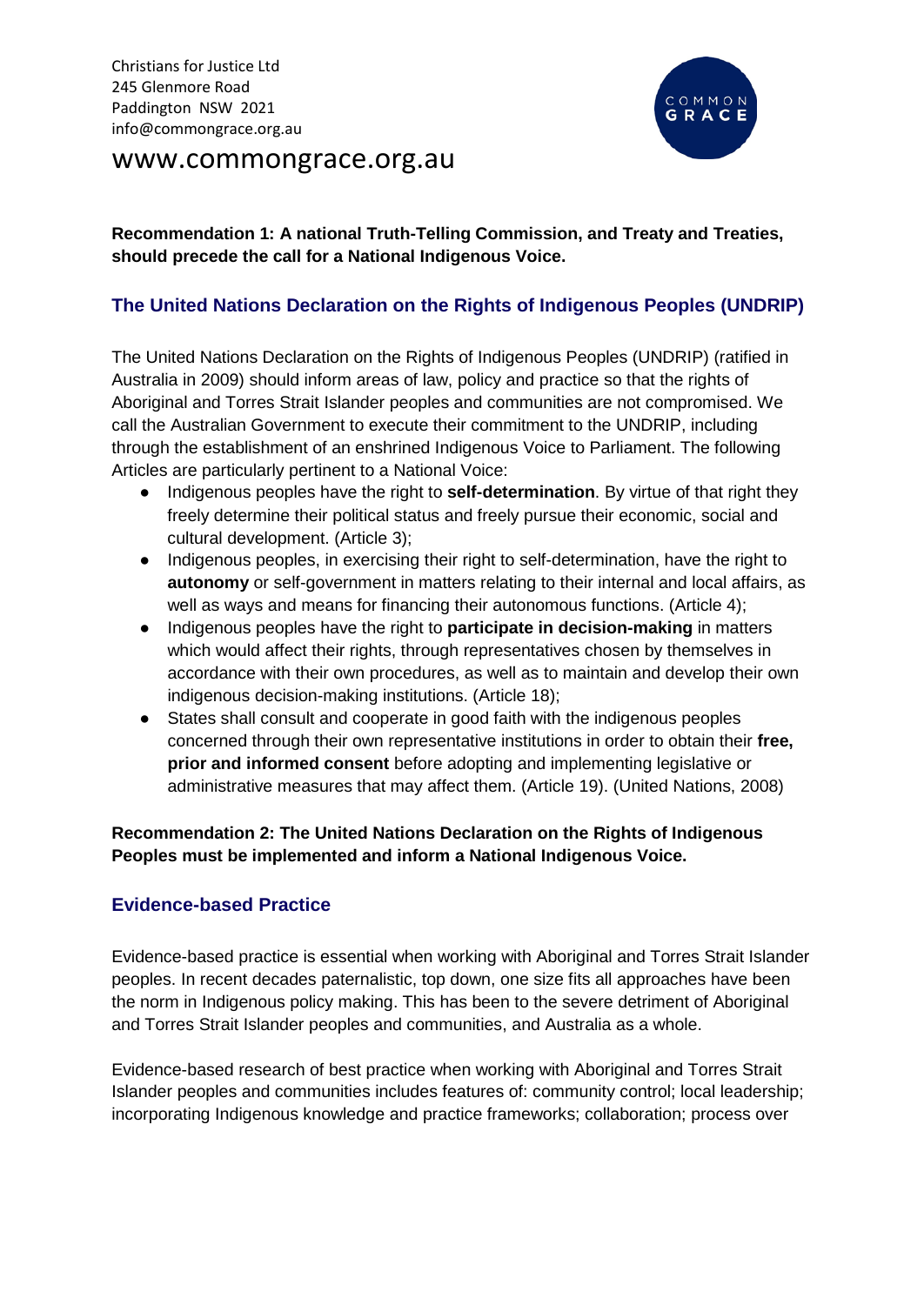# www.commongrace.org.au



## **Recommendation 1: A national Truth-Telling Commission, and Treaty and Treaties, should precede the call for a National Indigenous Voice.**

## **The United Nations Declaration on the Rights of Indigenous Peoples (UNDRIP)**

The United Nations Declaration on the Rights of Indigenous Peoples (UNDRIP) (ratified in Australia in 2009) should inform areas of law, policy and practice so that the rights of Aboriginal and Torres Strait Islander peoples and communities are not compromised. We call the Australian Government to execute their commitment to the UNDRIP, including through the establishment of an enshrined Indigenous Voice to Parliament. The following Articles are particularly pertinent to a National Voice:

- Indigenous peoples have the right to **self-determination**. By virtue of that right they freely determine their political status and freely pursue their economic, social and cultural development. (Article 3);
- Indigenous peoples, in exercising their right to self-determination, have the right to **autonomy** or self-government in matters relating to their internal and local affairs, as well as ways and means for financing their autonomous functions. (Article 4);
- Indigenous peoples have the right to **participate in decision-making** in matters which would affect their rights, through representatives chosen by themselves in accordance with their own procedures, as well as to maintain and develop their own indigenous decision-making institutions. (Article 18);
- States shall consult and cooperate in good faith with the indigenous peoples concerned through their own representative institutions in order to obtain their **free, prior and informed consent** before adopting and implementing legislative or administrative measures that may affect them. (Article 19). (United Nations, 2008)

### **Recommendation 2: The United Nations Declaration on the Rights of Indigenous Peoples must be implemented and inform a National Indigenous Voice.**

### **Evidence-based Practice**

Evidence-based practice is essential when working with Aboriginal and Torres Strait Islander peoples. In recent decades paternalistic, top down, one size fits all approaches have been the norm in Indigenous policy making. This has been to the severe detriment of Aboriginal and Torres Strait Islander peoples and communities, and Australia as a whole.

Evidence-based research of best practice when working with Aboriginal and Torres Strait Islander peoples and communities includes features of: community control; local leadership; incorporating Indigenous knowledge and practice frameworks; collaboration; process over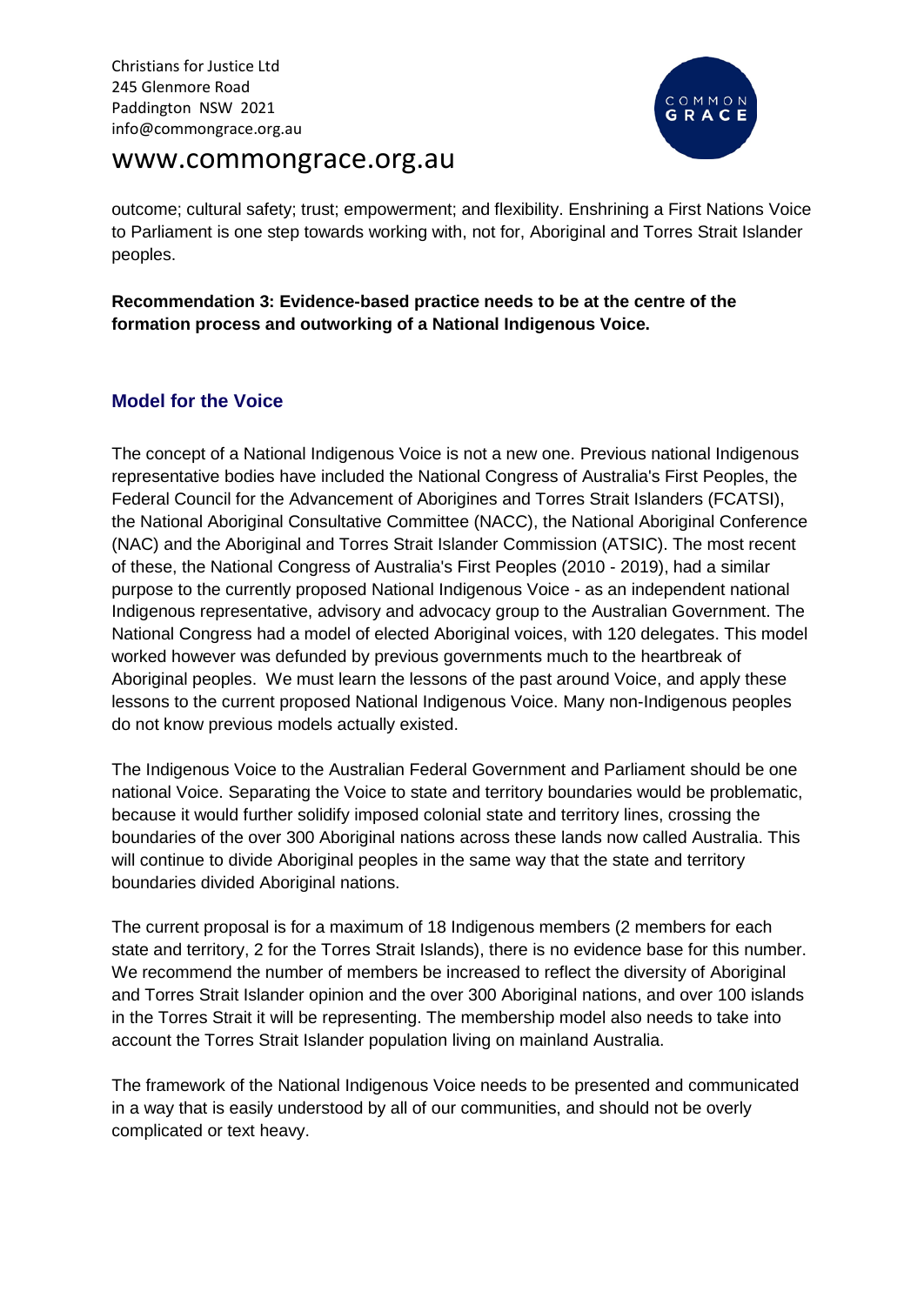# www.commongrace.org.au



outcome; cultural safety; trust; empowerment; and flexibility. Enshrining a First Nations Voice to Parliament is one step towards working with, not for, Aboriginal and Torres Strait Islander peoples.

**Recommendation 3: Evidence-based practice needs to be at the centre of the formation process and outworking of a National Indigenous Voice.** 

## **Model for the Voice**

The concept of a National Indigenous Voice is not a new one. Previous national Indigenous representative bodies have included the National Congress of Australia's First Peoples, the Federal Council for the Advancement of Aborigines and Torres Strait Islanders (FCATSI), the National Aboriginal Consultative Committee (NACC), the National Aboriginal Conference (NAC) and the Aboriginal and Torres Strait Islander Commission (ATSIC). The most recent of these, the National Congress of Australia's First Peoples (2010 - 2019), had a similar purpose to the currently proposed National Indigenous Voice - as an independent national Indigenous representative, advisory and advocacy group to the Australian Government. The National Congress had a model of elected Aboriginal voices, with 120 delegates. This model worked however was defunded by previous governments much to the heartbreak of Aboriginal peoples. We must learn the lessons of the past around Voice, and apply these lessons to the current proposed National Indigenous Voice. Many non-Indigenous peoples do not know previous models actually existed.

The Indigenous Voice to the Australian Federal Government and Parliament should be one national Voice. Separating the Voice to state and territory boundaries would be problematic, because it would further solidify imposed colonial state and territory lines, crossing the boundaries of the over 300 Aboriginal nations across these lands now called Australia. This will continue to divide Aboriginal peoples in the same way that the state and territory boundaries divided Aboriginal nations.

The current proposal is for a maximum of 18 Indigenous members (2 members for each state and territory, 2 for the Torres Strait Islands), there is no evidence base for this number. We recommend the number of members be increased to reflect the diversity of Aboriginal and Torres Strait Islander opinion and the over 300 Aboriginal nations, and over 100 islands in the Torres Strait it will be representing. The membership model also needs to take into account the Torres Strait Islander population living on mainland Australia.

The framework of the National Indigenous Voice needs to be presented and communicated in a way that is easily understood by all of our communities, and should not be overly complicated or text heavy.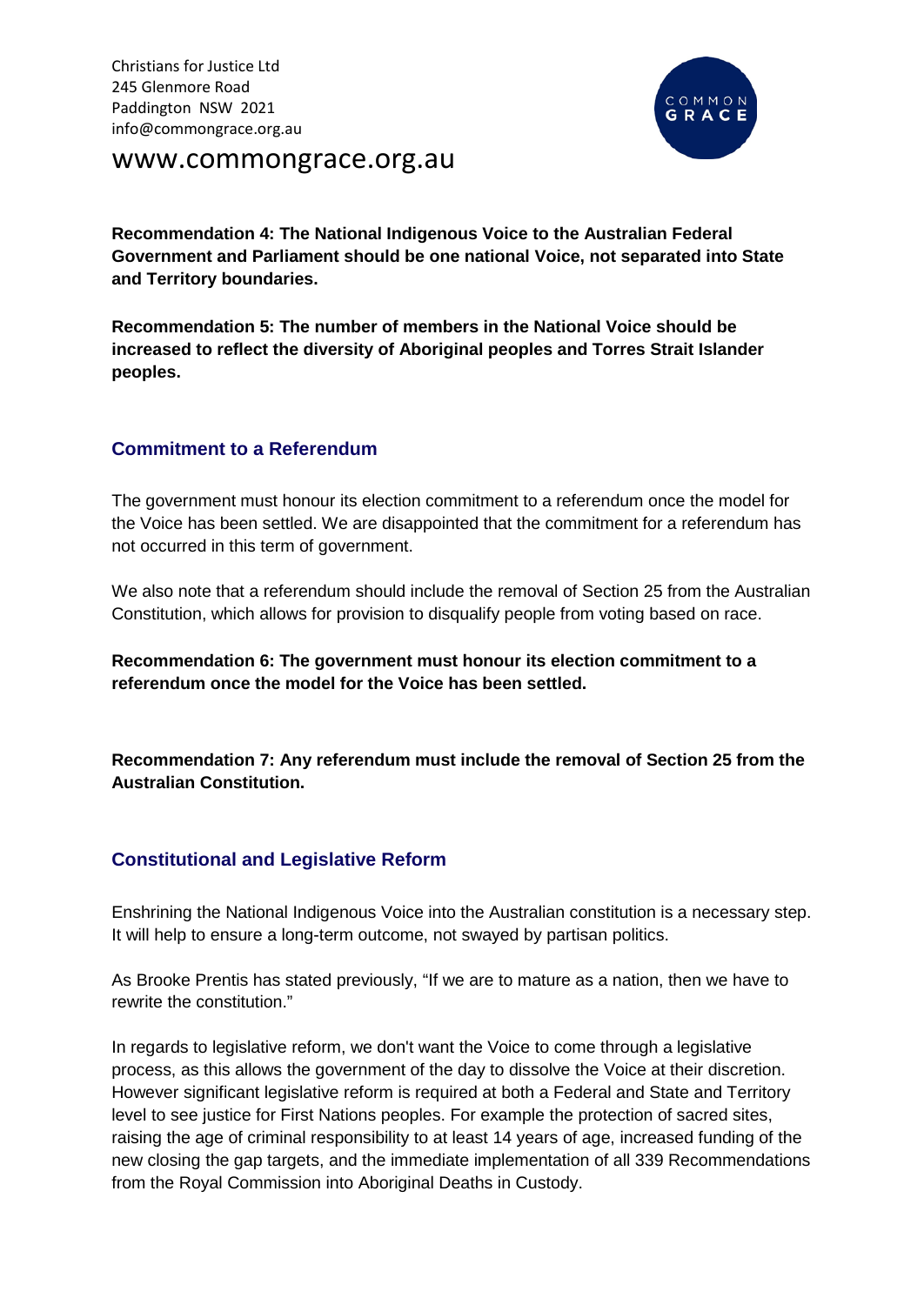

www.commongrace.org.au

**Recommendation 4: The National Indigenous Voice to the Australian Federal Government and Parliament should be one national Voice, not separated into State and Territory boundaries.** 

**Recommendation 5: The number of members in the National Voice should be increased to reflect the diversity of Aboriginal peoples and Torres Strait Islander peoples.**

### **Commitment to a Referendum**

The government must honour its election commitment to a referendum once the model for the Voice has been settled. We are disappointed that the commitment for a referendum has not occurred in this term of government.

We also note that a referendum should include the removal of Section 25 from the Australian Constitution, which allows for provision to disqualify people from voting based on race.

**Recommendation 6: The government must honour its election commitment to a referendum once the model for the Voice has been settled.**

**Recommendation 7: Any referendum must include the removal of Section 25 from the Australian Constitution.**

### **Constitutional and Legislative Reform**

Enshrining the National Indigenous Voice into the Australian constitution is a necessary step. It will help to ensure a long-term outcome, not swayed by partisan politics.

As Brooke Prentis has stated previously, "If we are to mature as a nation, then we have to rewrite the constitution."

In regards to legislative reform, we don't want the Voice to come through a legislative process, as this allows the government of the day to dissolve the Voice at their discretion. However significant legislative reform is required at both a Federal and State and Territory level to see justice for First Nations peoples. For example the protection of sacred sites, raising the age of criminal responsibility to at least 14 years of age, increased funding of the new closing the gap targets, and the immediate implementation of all 339 Recommendations from the Royal Commission into Aboriginal Deaths in Custody.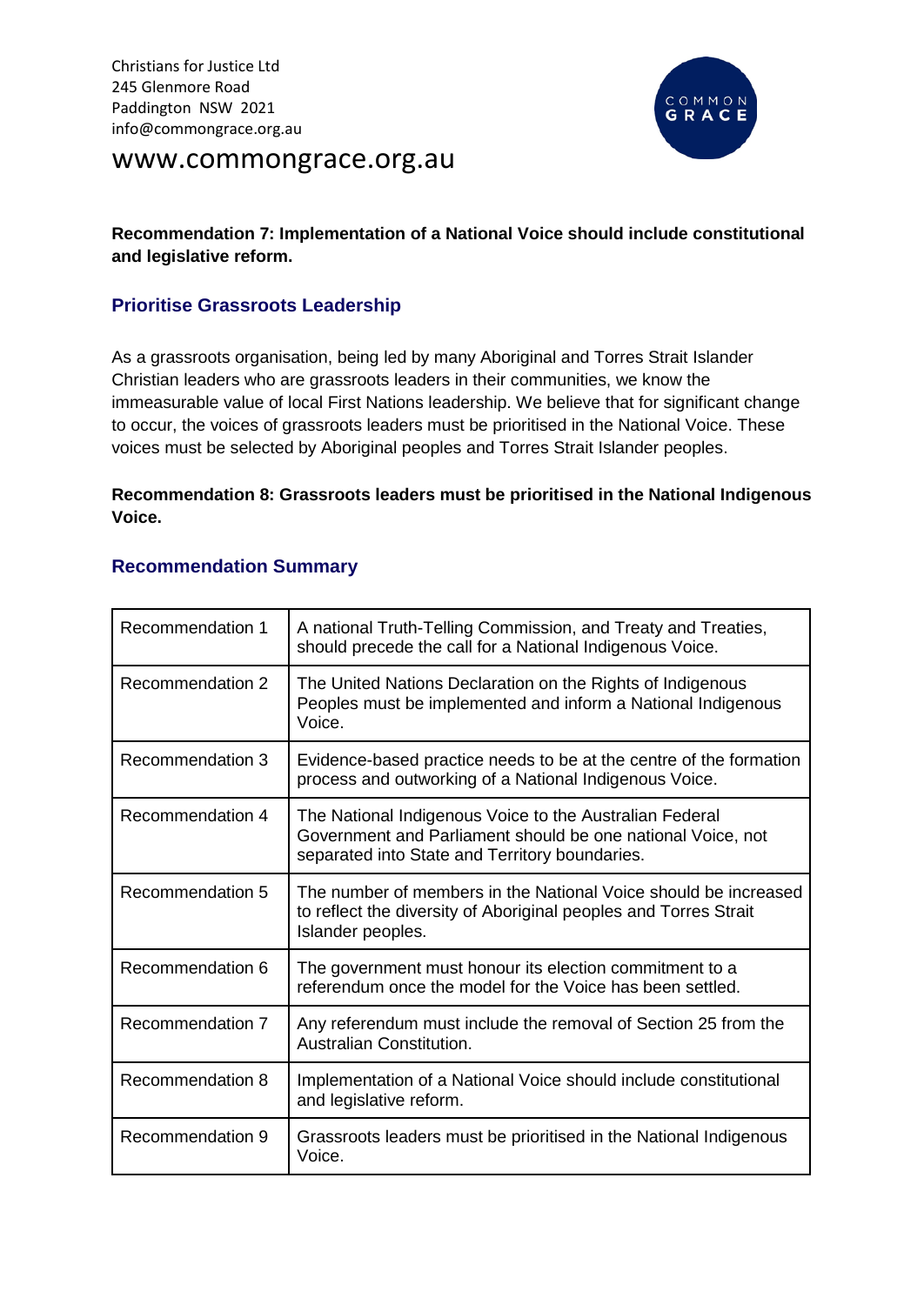

# www.commongrace.org.au

## **Recommendation 7: Implementation of a National Voice should include constitutional and legislative reform.**

## **Prioritise Grassroots Leadership**

As a grassroots organisation, being led by many Aboriginal and Torres Strait Islander Christian leaders who are grassroots leaders in their communities, we know the immeasurable value of local First Nations leadership. We believe that for significant change to occur, the voices of grassroots leaders must be prioritised in the National Voice. These voices must be selected by Aboriginal peoples and Torres Strait Islander peoples.

#### **Recommendation 8: Grassroots leaders must be prioritised in the National Indigenous Voice.**

### **Recommendation Summary**

| Recommendation 1 | A national Truth-Telling Commission, and Treaty and Treaties,<br>should precede the call for a National Indigenous Voice.                                                |
|------------------|--------------------------------------------------------------------------------------------------------------------------------------------------------------------------|
| Recommendation 2 | The United Nations Declaration on the Rights of Indigenous<br>Peoples must be implemented and inform a National Indigenous<br>Voice.                                     |
| Recommendation 3 | Evidence-based practice needs to be at the centre of the formation<br>process and outworking of a National Indigenous Voice.                                             |
| Recommendation 4 | The National Indigenous Voice to the Australian Federal<br>Government and Parliament should be one national Voice, not<br>separated into State and Territory boundaries. |
| Recommendation 5 | The number of members in the National Voice should be increased<br>to reflect the diversity of Aboriginal peoples and Torres Strait<br>Islander peoples.                 |
| Recommendation 6 | The government must honour its election commitment to a<br>referendum once the model for the Voice has been settled.                                                     |
| Recommendation 7 | Any referendum must include the removal of Section 25 from the<br>Australian Constitution.                                                                               |
| Recommendation 8 | Implementation of a National Voice should include constitutional<br>and legislative reform.                                                                              |
| Recommendation 9 | Grassroots leaders must be prioritised in the National Indigenous<br>Voice.                                                                                              |